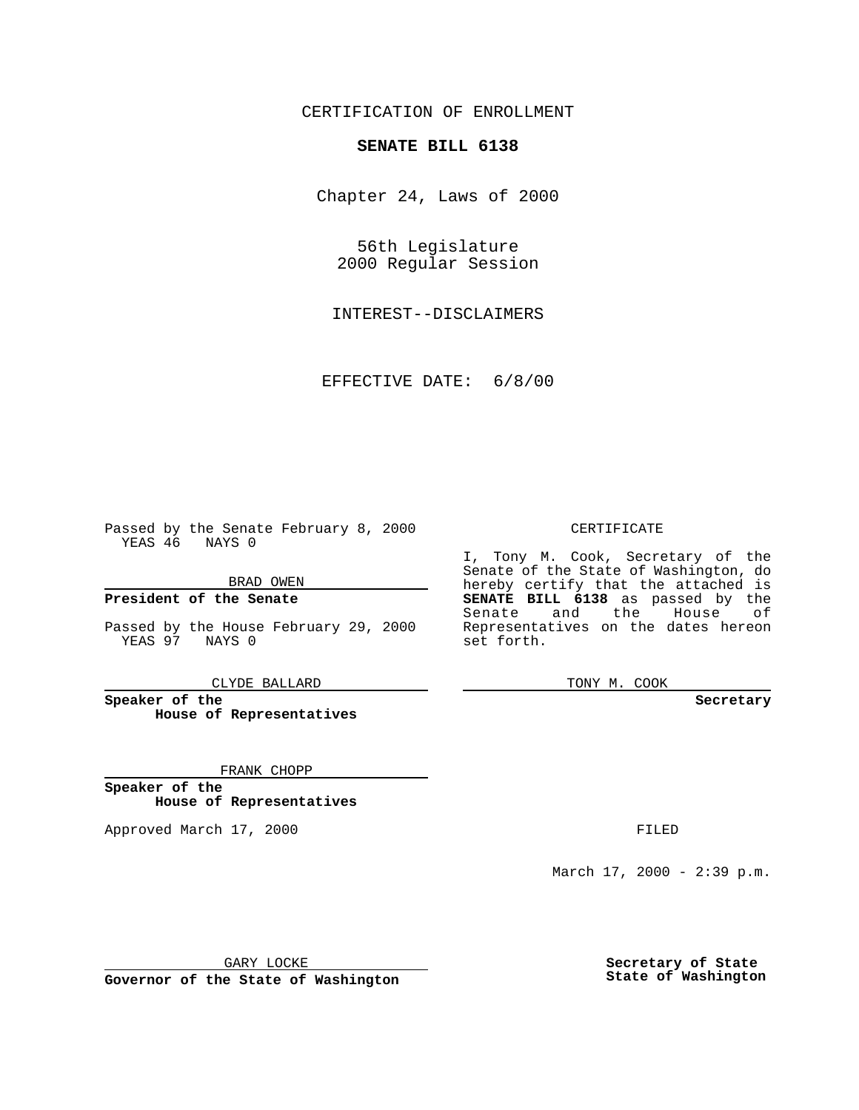## CERTIFICATION OF ENROLLMENT

## **SENATE BILL 6138**

Chapter 24, Laws of 2000

56th Legislature 2000 Regular Session

INTEREST--DISCLAIMERS

EFFECTIVE DATE: 6/8/00

Passed by the Senate February 8, 2000 YEAS 46 NAYS 0

BRAD OWEN

**President of the Senate**

Passed by the House February 29, 2000 YEAS 97 NAYS 0

CLYDE BALLARD

**Speaker of the House of Representatives**

FRANK CHOPP

**Speaker of the House of Representatives**

Approved March 17, 2000 FILED

## CERTIFICATE

I, Tony M. Cook, Secretary of the Senate of the State of Washington, do hereby certify that the attached is **SENATE BILL 6138** as passed by the Senate and the House of Representatives on the dates hereon set forth.

TONY M. COOK

**Secretary**

March 17, 2000 - 2:39 p.m.

GARY LOCKE

**Governor of the State of Washington**

**Secretary of State State of Washington**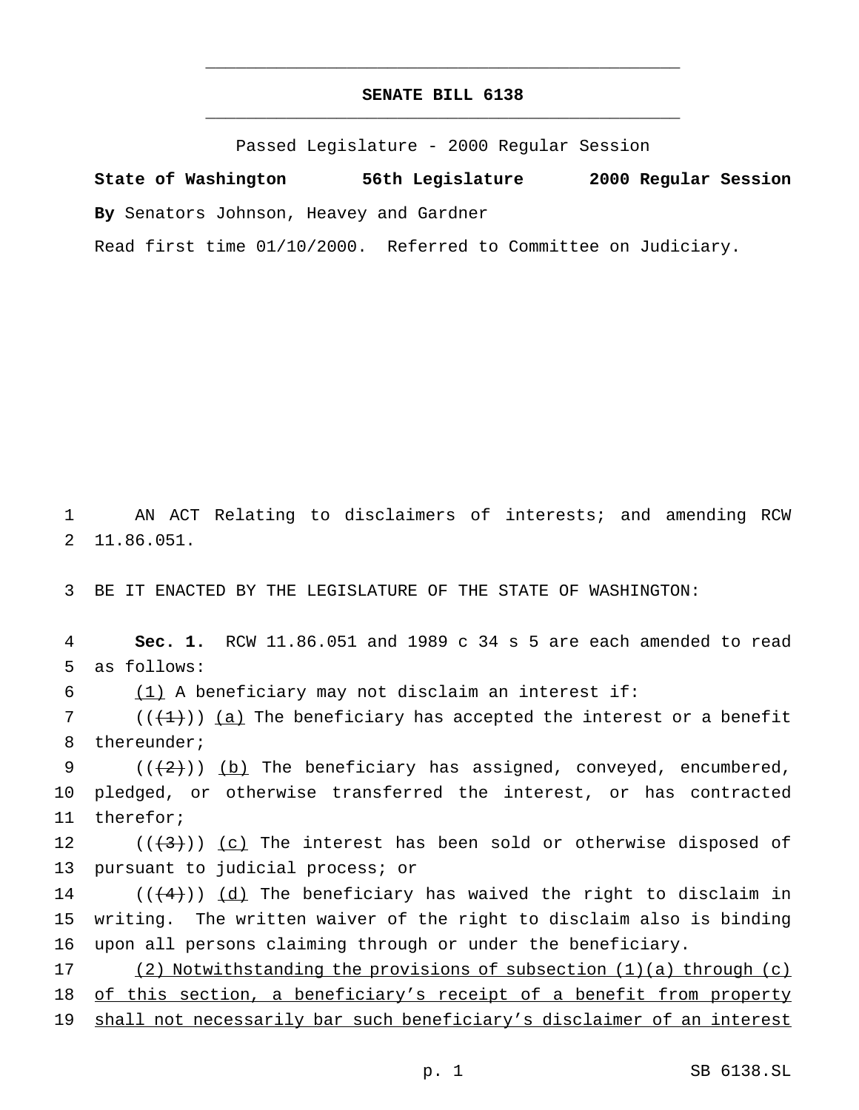## **SENATE BILL 6138** \_\_\_\_\_\_\_\_\_\_\_\_\_\_\_\_\_\_\_\_\_\_\_\_\_\_\_\_\_\_\_\_\_\_\_\_\_\_\_\_\_\_\_\_\_\_\_

\_\_\_\_\_\_\_\_\_\_\_\_\_\_\_\_\_\_\_\_\_\_\_\_\_\_\_\_\_\_\_\_\_\_\_\_\_\_\_\_\_\_\_\_\_\_\_

Passed Legislature - 2000 Regular Session

**State of Washington 56th Legislature 2000 Regular Session By** Senators Johnson, Heavey and Gardner

Read first time 01/10/2000. Referred to Committee on Judiciary.

1 AN ACT Relating to disclaimers of interests; and amending RCW 2 11.86.051.

3 BE IT ENACTED BY THE LEGISLATURE OF THE STATE OF WASHINGTON:

4 **Sec. 1.** RCW 11.86.051 and 1989 c 34 s 5 are each amended to read 5 as follows:

6  $(1)$  A beneficiary may not disclaim an interest if:

7 ( $($  $($  $($  $+1$  $)$ )  $(a)$  The beneficiary has accepted the interest or a benefit 8 thereunder;

9  $((+2+))$  (b) The beneficiary has assigned, conveyed, encumbered, 10 pledged, or otherwise transferred the interest, or has contracted 11 therefor;

12  $((+3))$   $(c)$  The interest has been sold or otherwise disposed of 13 pursuant to judicial process; or

14 ( $(\frac{4}{4})$ ) (d) The beneficiary has waived the right to disclaim in 15 writing. The written waiver of the right to disclaim also is binding 16 upon all persons claiming through or under the beneficiary.

17 (2) Notwithstanding the provisions of subsection (1)(a) through (c) 18 of this section, a beneficiary's receipt of a benefit from property 19 shall not necessarily bar such beneficiary's disclaimer of an interest